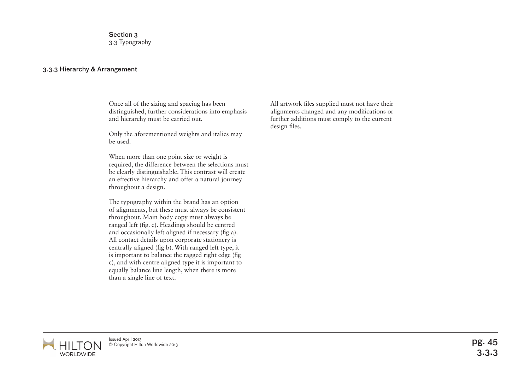Section 3 3.3 Typography

## 3.3.3 Hierarchy & Arrangement

Once all of the sizing and spacing has been distinguished, further considerations into emphasis and hierarchy must be carried out.

Only the aforementioned weights and italics may be used.

When more than one point size or weight is required, the difference between the selections must be clearly distinguishable. This contrast will create an effective hierarchy and offer a natural journey throughout a design.

The typography within the brand has an option of alignments, but these must always be consistent throughout. Main body copy must always be ranged left (fig. c). Headings should be centred and occasionally left aligned if necessary (fig a). All contact details upon corporate stationery is centrally aligned (fig b). With ranged left type, it is important to balance the ragged right edge (fig c), and with centre aligned type it is important to equally balance line length, when there is more than a single line of text.

All artwork files supplied must not have their alignments changed and any modifications or further additions must comply to the current design files.